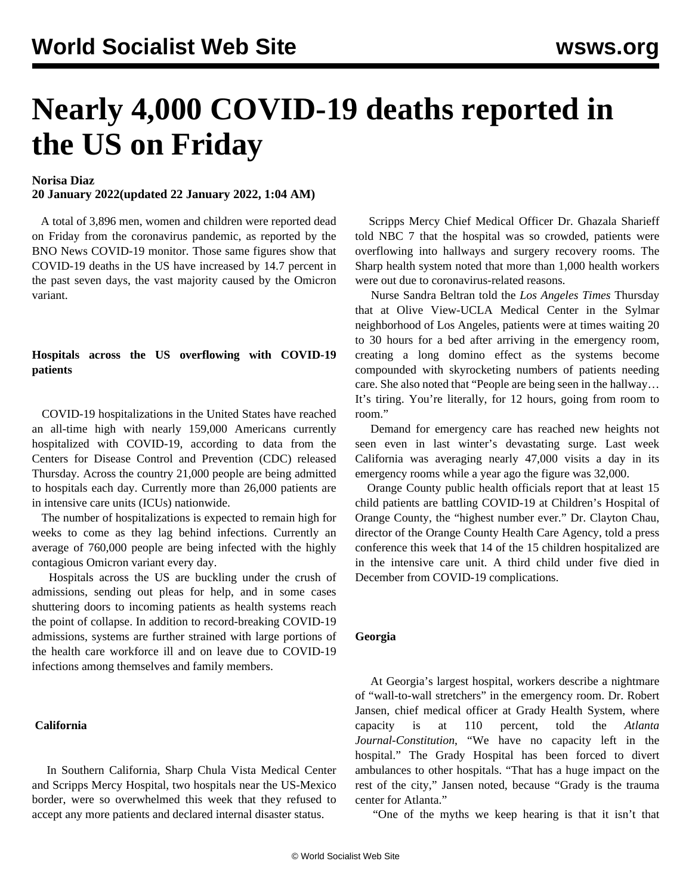# **Nearly 4,000 COVID-19 deaths reported in the US on Friday**

# **Norisa Diaz**

**20 January 2022(updated 22 January 2022, 1:04 AM)**

 A total of 3,896 men, women and children were reported dead on Friday from the coronavirus pandemic, as reported by the BNO News COVID-19 monitor. Those same figures show that COVID-19 deaths in the US have increased by 14.7 percent in the past seven days, the vast majority caused by the Omicron variant.

# **Hospitals across the US overflowing with COVID-19 patients**

 COVID-19 hospitalizations in the United States have reached an all-time high with nearly 159,000 Americans currently hospitalized with COVID-19, according to data from the Centers for Disease Control and Prevention (CDC) released Thursday*.* Across the country 21,000 people are being admitted to hospitals each day. Currently more than 26,000 patients are in intensive care units (ICUs) nationwide.

 The number of hospitalizations is expected to remain high for weeks to come as they lag behind infections. Currently an average of 760,000 people are being infected with the highly contagious Omicron variant every day.

 Hospitals across the US are buckling under the crush of admissions, sending out pleas for help, and in some cases shuttering doors to incoming patients as health systems reach the point of collapse. In addition to record-breaking COVID-19 admissions, systems are further strained with large portions of the health care workforce ill and on leave due to COVID-19 infections among themselves and family members.

## **California**

 In Southern California, Sharp Chula Vista Medical Center and Scripps Mercy Hospital, two hospitals near the US-Mexico border, were so overwhelmed this week that they refused to accept any more patients and declared internal disaster status.

 Scripps Mercy Chief Medical Officer Dr. Ghazala Sharieff told NBC 7 that the hospital was so crowded, patients were overflowing into hallways and surgery recovery rooms. The Sharp health system noted that more than 1,000 health workers were out due to coronavirus-related reasons.

 Nurse Sandra Beltran told the *Los Angeles Times* Thursday that at Olive View-UCLA Medical Center in the Sylmar neighborhood of Los Angeles, patients were at times waiting 20 to 30 hours for a bed after arriving in the emergency room, creating a long domino effect as the systems become compounded with skyrocketing numbers of patients needing care. She also noted that "People are being seen in the hallway… It's tiring. You're literally, for 12 hours, going from room to room."

 Demand for emergency care has reached new heights not seen even in last winter's devastating surge. Last week California was averaging nearly 47,000 visits a day in its emergency rooms while a year ago the figure was 32,000.

 Orange County public health officials report that at least 15 child patients are battling COVID-19 at Children's Hospital of Orange County, the "highest number ever." Dr. Clayton Chau, director of the Orange County Health Care Agency, told a press conference this week that 14 of the 15 children hospitalized are in the intensive care unit. A third child under five died in December from COVID-19 complications.

#### **Georgia**

 At Georgia's largest hospital, workers describe a nightmare of "wall-to-wall stretchers" in the emergency room. Dr. Robert Jansen, chief medical officer at Grady Health System, where capacity is at 110 percent, told the *Atlanta Journal-Constitution*, "We have no capacity left in the hospital." The Grady Hospital has been forced to divert ambulances to other hospitals. "That has a huge impact on the rest of the city," Jansen noted, because "Grady is the trauma center for Atlanta."

"One of the myths we keep hearing is that it isn't that